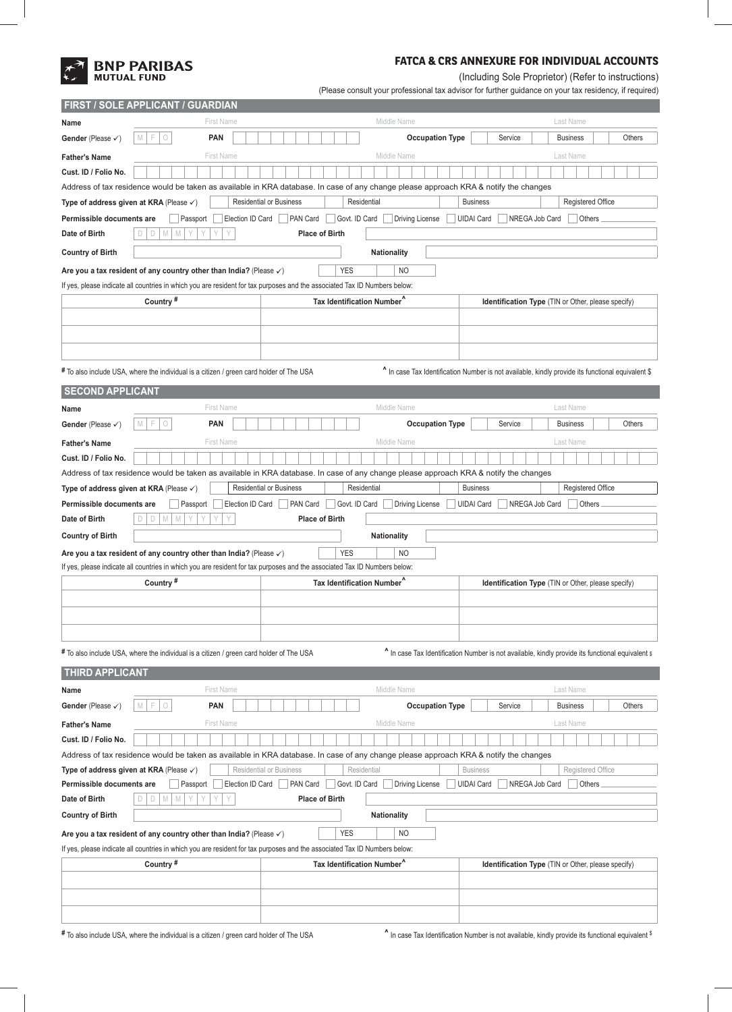# **BNP PARIBAS**<br>
MUTUAL FUND

## **FATCA & CRS ANNEXURE FOR INDIVIDUAL ACCOUNTS**

(Including Sole Proprietor) (Refer to instructions)

(Please consult your professional tax advisor for further guidance on your tax residency, if required)

| Name                                                                                                                                         | <b>FIRST / SOLE APPLICANT / GUARDIAN</b>                                                |                                                                                                                                      |                                                                                                   |  |  |  |  |
|----------------------------------------------------------------------------------------------------------------------------------------------|-----------------------------------------------------------------------------------------|--------------------------------------------------------------------------------------------------------------------------------------|---------------------------------------------------------------------------------------------------|--|--|--|--|
|                                                                                                                                              | First Name                                                                              | Middle Name                                                                                                                          | Last Name                                                                                         |  |  |  |  |
| Gender (Please $\checkmark$ )                                                                                                                | F<br>M<br>$\circ$<br><b>PAN</b>                                                         | <b>Occupation Type</b>                                                                                                               | Service<br><b>Business</b><br>Others                                                              |  |  |  |  |
| <b>Father's Name</b>                                                                                                                         | <b>First Name</b>                                                                       | Middle Name                                                                                                                          | Last Name                                                                                         |  |  |  |  |
| Cust. ID / Folio No.                                                                                                                         |                                                                                         |                                                                                                                                      |                                                                                                   |  |  |  |  |
|                                                                                                                                              |                                                                                         | Address of tax residence would be taken as available in KRA database. In case of any change please approach KRA & notify the changes |                                                                                                   |  |  |  |  |
| Registered Office<br>Type of address given at KRA (Please $\checkmark$ )<br><b>Residential or Business</b><br>Residential<br><b>Business</b> |                                                                                         |                                                                                                                                      |                                                                                                   |  |  |  |  |
| Permissible documents are                                                                                                                    | Election ID Card<br>Passport                                                            | PAN Card<br>Govt. ID Card<br><b>Driving License</b>                                                                                  | <b>UIDAI Card</b><br>NREGA Job Card<br><b>Others</b>                                              |  |  |  |  |
| Date of Birth                                                                                                                                | Y<br>D<br>M<br>M<br>Y<br>D                                                              | <b>Place of Birth</b>                                                                                                                |                                                                                                   |  |  |  |  |
| <b>Country of Birth</b>                                                                                                                      | <b>Nationality</b>                                                                      |                                                                                                                                      |                                                                                                   |  |  |  |  |
|                                                                                                                                              | Are you a tax resident of any country other than India? (Please $\checkmark$ )          | <b>YES</b><br><b>NO</b>                                                                                                              |                                                                                                   |  |  |  |  |
|                                                                                                                                              |                                                                                         | If yes, please indicate all countries in which you are resident for tax purposes and the associated Tax ID Numbers below:            |                                                                                                   |  |  |  |  |
|                                                                                                                                              | Country <sup>#</sup>                                                                    | Tax Identification Number <sup>^</sup>                                                                                               | Identification Type (TIN or Other, please specify)                                                |  |  |  |  |
|                                                                                                                                              |                                                                                         |                                                                                                                                      |                                                                                                   |  |  |  |  |
|                                                                                                                                              |                                                                                         |                                                                                                                                      |                                                                                                   |  |  |  |  |
|                                                                                                                                              |                                                                                         |                                                                                                                                      |                                                                                                   |  |  |  |  |
|                                                                                                                                              |                                                                                         |                                                                                                                                      |                                                                                                   |  |  |  |  |
|                                                                                                                                              | # To also include USA, where the individual is a citizen / green card holder of The USA |                                                                                                                                      | ^ In case Tax Identification Number is not available, kindly provide its functional equivalent \$ |  |  |  |  |
| <b>SECOND APPLICANT</b>                                                                                                                      |                                                                                         |                                                                                                                                      |                                                                                                   |  |  |  |  |
| Name                                                                                                                                         | <b>First Name</b>                                                                       | Middle Name                                                                                                                          | Last Name                                                                                         |  |  |  |  |
| Gender (Please $\checkmark$ )                                                                                                                | M<br>F<br>$\bigcirc$<br><b>PAN</b>                                                      | <b>Occupation Type</b>                                                                                                               | Service<br><b>Business</b><br>Others                                                              |  |  |  |  |
| <b>Father's Name</b>                                                                                                                         | <b>First Name</b>                                                                       | Middle Name                                                                                                                          | Last Name                                                                                         |  |  |  |  |
| Cust. ID / Folio No.                                                                                                                         |                                                                                         |                                                                                                                                      |                                                                                                   |  |  |  |  |
|                                                                                                                                              |                                                                                         | Address of tax residence would be taken as available in KRA database. In case of any change please approach KRA & notify the changes |                                                                                                   |  |  |  |  |
| Type of address given at KRA (Please √)                                                                                                      |                                                                                         | <b>Residential or Business</b><br>Residential                                                                                        | <b>Business</b><br><b>Registered Office</b>                                                       |  |  |  |  |
| Permissible documents are                                                                                                                    | Passport<br>Election ID Card                                                            | PAN Card<br>Govt. ID Card<br>Driving License                                                                                         | NREGA Job Card<br><b>UIDAI Card</b><br>Others                                                     |  |  |  |  |
| Date of Birth                                                                                                                                | M<br>Y<br>D<br>M<br>D                                                                   | <b>Place of Birth</b>                                                                                                                |                                                                                                   |  |  |  |  |
| <b>Country of Birth</b>                                                                                                                      |                                                                                         | <b>Nationality</b>                                                                                                                   |                                                                                                   |  |  |  |  |
|                                                                                                                                              | Are you a tax resident of any country other than India? (Please $\checkmark$ )          | <b>YES</b><br>NO                                                                                                                     |                                                                                                   |  |  |  |  |
|                                                                                                                                              |                                                                                         | If yes, please indicate all countries in which you are resident for tax purposes and the associated Tax ID Numbers below:            |                                                                                                   |  |  |  |  |
|                                                                                                                                              |                                                                                         | Tax Identification Number <sup>^</sup>                                                                                               | Identification Type (TIN or Other, please specify)                                                |  |  |  |  |
|                                                                                                                                              | Country #                                                                               |                                                                                                                                      |                                                                                                   |  |  |  |  |
|                                                                                                                                              |                                                                                         |                                                                                                                                      |                                                                                                   |  |  |  |  |
|                                                                                                                                              |                                                                                         |                                                                                                                                      |                                                                                                   |  |  |  |  |
|                                                                                                                                              |                                                                                         |                                                                                                                                      |                                                                                                   |  |  |  |  |
|                                                                                                                                              |                                                                                         |                                                                                                                                      |                                                                                                   |  |  |  |  |
|                                                                                                                                              | # To also include USA, where the individual is a citizen / green card holder of The USA |                                                                                                                                      | A In case Tax Identification Number is not available, kindly provide its functional equivalent \$ |  |  |  |  |
| <b>THIRD APPLICANT</b>                                                                                                                       |                                                                                         |                                                                                                                                      |                                                                                                   |  |  |  |  |
| Name                                                                                                                                         | <b>First Name</b>                                                                       | Middle Name                                                                                                                          | Last Name                                                                                         |  |  |  |  |
| Gender (Please $\checkmark$ )                                                                                                                | M<br>F<br>$\bigcirc$<br><b>PAN</b>                                                      | <b>Occupation Type</b>                                                                                                               | Service<br>Others<br><b>Business</b>                                                              |  |  |  |  |
| <b>Father's Name</b>                                                                                                                         | <b>First Name</b>                                                                       | Middle Name                                                                                                                          | Last Name                                                                                         |  |  |  |  |
| Cust. ID / Folio No.                                                                                                                         |                                                                                         |                                                                                                                                      |                                                                                                   |  |  |  |  |
|                                                                                                                                              |                                                                                         | Address of tax residence would be taken as available in KRA database. In case of any change please approach KRA & notify the changes |                                                                                                   |  |  |  |  |
| Type of address given at KRA (Please $\checkmark$ )                                                                                          |                                                                                         | Residential<br><b>Residential or Business</b>                                                                                        | Registered Office<br><b>Business</b>                                                              |  |  |  |  |
| Permissible documents are                                                                                                                    | Election ID Card<br>Passport                                                            | PAN Card<br>Govt. ID Card<br>Driving License                                                                                         | <b>UIDAI Card</b><br>NREGA Job Card<br>Others                                                     |  |  |  |  |
| Date of Birth                                                                                                                                | M<br>Y<br>Y<br>D<br>M<br>D                                                              | <b>Place of Birth</b>                                                                                                                |                                                                                                   |  |  |  |  |
| <b>Country of Birth</b>                                                                                                                      |                                                                                         | <b>Nationality</b>                                                                                                                   |                                                                                                   |  |  |  |  |
|                                                                                                                                              | Are you a tax resident of any country other than India? (Please $\checkmark$ )          | <b>YES</b><br><b>NO</b>                                                                                                              |                                                                                                   |  |  |  |  |
|                                                                                                                                              |                                                                                         | If yes, please indicate all countries in which you are resident for tax purposes and the associated Tax ID Numbers below:            |                                                                                                   |  |  |  |  |
|                                                                                                                                              | Country#                                                                                | Tax Identification Number <sup>^</sup>                                                                                               | Identification Type (TIN or Other, please specify)                                                |  |  |  |  |
|                                                                                                                                              |                                                                                         |                                                                                                                                      |                                                                                                   |  |  |  |  |
|                                                                                                                                              |                                                                                         |                                                                                                                                      |                                                                                                   |  |  |  |  |

\* To also include USA, where the individual is a citizen / green card holder of The USA **^** In case Tax Identification Number is not available, kindly provide its functional equivalent \$